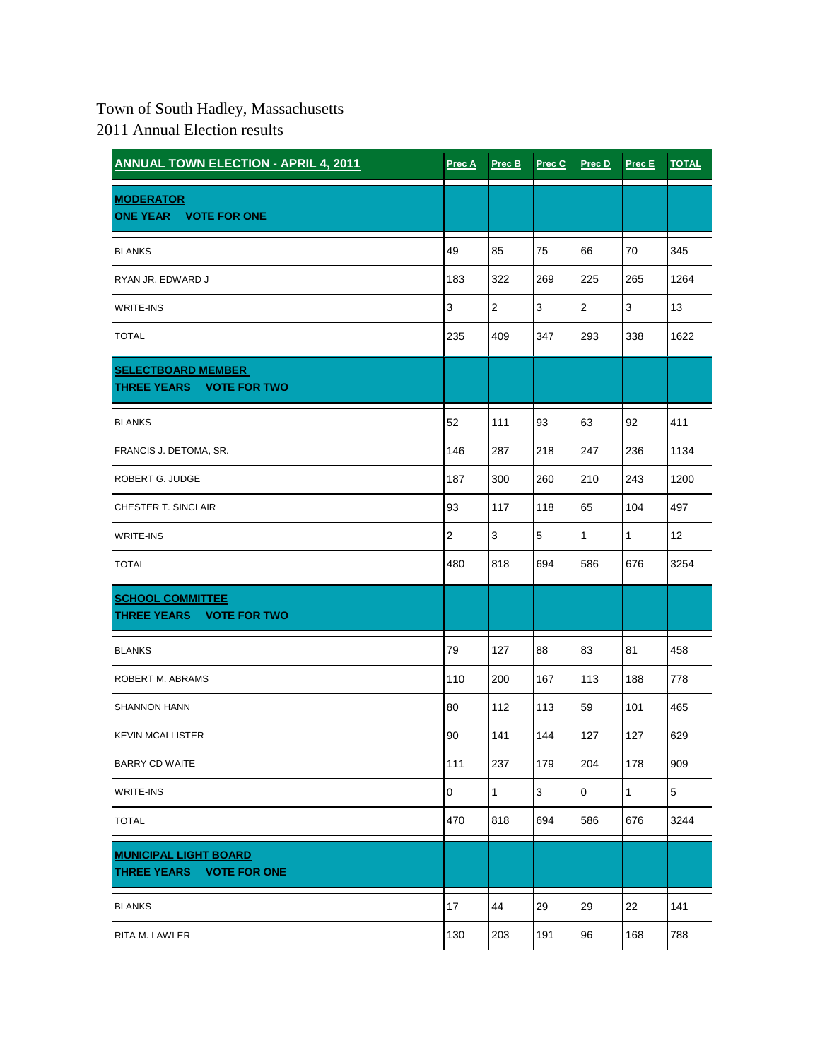## Town of South Hadley, Massachusetts

2011 Annual Election results

| <b>ANNUAL TOWN ELECTION - APRIL 4, 2011</b>              | Prec A         | Prec B         | Prec C       | Prec D       | Prec E | <b>TOTAL</b>   |
|----------------------------------------------------------|----------------|----------------|--------------|--------------|--------|----------------|
| <b>MODERATOR</b><br>ONE YEAR VOTE FOR ONE                |                |                |              |              |        |                |
| <b>BLANKS</b>                                            | 49             | 85             | 75           | 66           | 70     | 345            |
| RYAN JR. EDWARD J                                        | 183            | 322            | 269          | 225          | 265    | 1264           |
| WRITE-INS                                                | 3              | $\overline{2}$ | $\mathbf{3}$ | $\mathbf{2}$ | 3      | 13             |
| <b>TOTAL</b>                                             | 235            | 409            | 347          | 293          | 338    | 1622           |
| <b>SELECTBOARD MEMBER</b><br>THREE YEARS VOTE FOR TWO    |                |                |              |              |        |                |
| <b>BLANKS</b>                                            | 52             | 111            | 93           | 63           | 92     | 411            |
| FRANCIS J. DETOMA, SR.                                   | 146            | 287            | 218          | 247          | 236    | 1134           |
| ROBERT G. JUDGE                                          | 187            | 300            | 260          | 210          | 243    | 1200           |
| CHESTER T. SINCLAIR                                      | 93             | 117            | 118          | 65           | 104    | 497            |
| WRITE-INS                                                | $\overline{2}$ | 3              | 5            | $\mathbf{1}$ | 1      | 12             |
| <b>TOTAL</b>                                             | 480            | 818            | 694          | 586          | 676    | 3254           |
| <b>SCHOOL COMMITTEE</b><br>THREE YEARS VOTE FOR TWO      |                |                |              |              |        |                |
| <b>BLANKS</b>                                            | 79             | 127            | 88           | 83           | 81     | 458            |
| ROBERT M. ABRAMS                                         | 110            | 200            | 167          | 113          | 188    | 778            |
| <b>SHANNON HANN</b>                                      | 80             | 112            | 113          | 59           | 101    | 465            |
| <b>KEVIN MCALLISTER</b>                                  | 90             | 141            | 144          | 127          | 127    | 629            |
| <b>BARRY CD WAITE</b>                                    | 111            | 237            | 179          | 204          | 178    | 909            |
| WRITE-INS                                                | $\pmb{0}$      | $\mathbf{1}$   | 3            | $\mathsf 0$  | 1      | $\overline{5}$ |
| <b>TOTAL</b>                                             | 470            | 818            | 694          | 586          | 676    | 3244           |
| <b>MUNICIPAL LIGHT BOARD</b><br>THREE YEARS VOTE FOR ONE |                |                |              |              |        |                |
| <b>BLANKS</b>                                            | 17             | 44             | 29           | 29           | 22     | 141            |
| RITA M. LAWLER                                           | 130            | 203            | 191          | 96           | 168    | 788            |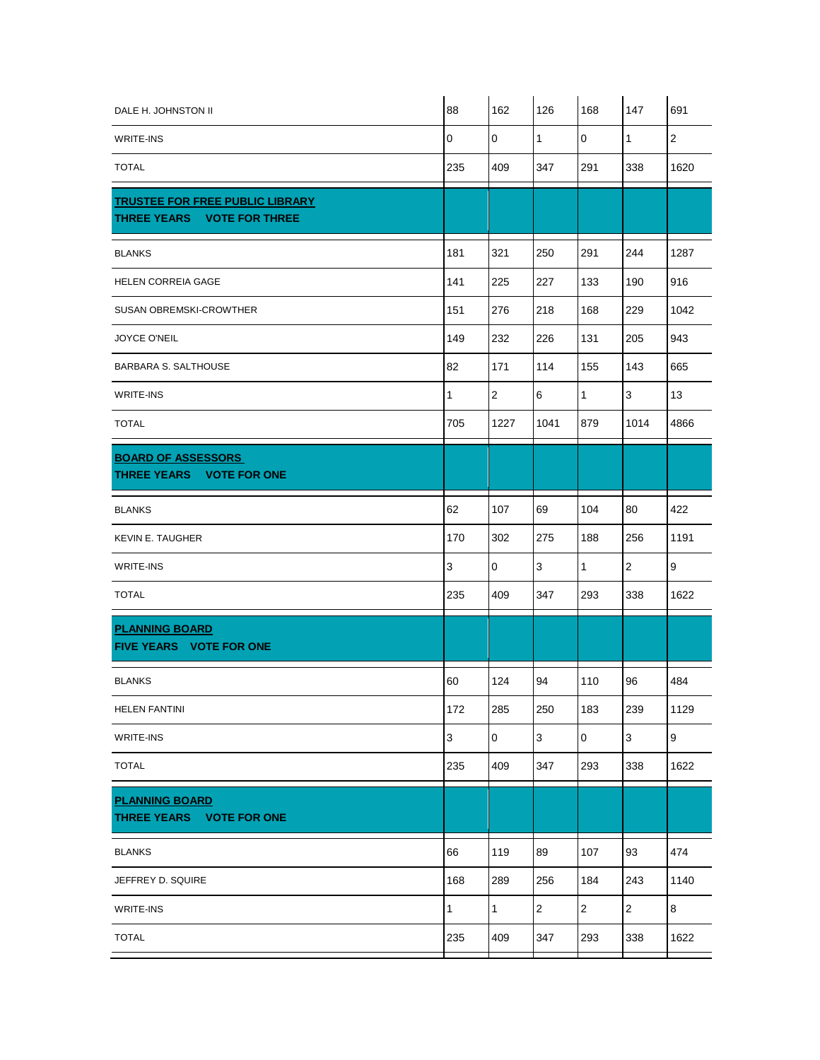| DALE H. JOHNSTON II                                                  | 88          | 162            | 126            | 168            | 147            | 691              |
|----------------------------------------------------------------------|-------------|----------------|----------------|----------------|----------------|------------------|
| <b>WRITE-INS</b>                                                     | $\mathbf 0$ | $\mathbf 0$    | $\mathbf{1}$   | 0              | $\mathbf{1}$   | $\mathbf 2$      |
| <b>TOTAL</b>                                                         | 235         | 409            | 347            | 291            | 338            | 1620             |
| <b>TRUSTEE FOR FREE PUBLIC LIBRARY</b><br>THREE YEARS VOTE FOR THREE |             |                |                |                |                |                  |
| <b>BLANKS</b>                                                        | 181         | 321            | 250            | 291            | 244            | 1287             |
| HELEN CORREIA GAGE                                                   | 141         | 225            | 227            | 133            | 190            | 916              |
| SUSAN OBREMSKI-CROWTHER                                              | 151         | 276            | 218            | 168            | 229            | 1042             |
| JOYCE O'NEIL                                                         | 149         | 232            | 226            | 131            | 205            | 943              |
| <b>BARBARA S. SALTHOUSE</b>                                          | 82          | 171            | 114            | 155            | 143            | 665              |
| <b>WRITE-INS</b>                                                     | 1           | $\overline{2}$ | 6              | $\mathbf{1}$   | 3              | 13               |
| <b>TOTAL</b>                                                         | 705         | 1227           | 1041           | 879            | 1014           | 4866             |
| <b>BOARD OF ASSESSORS</b><br>THREE YEARS VOTE FOR ONE                |             |                |                |                |                |                  |
| <b>BLANKS</b>                                                        | 62          | 107            | 69             | 104            | 80             | 422              |
| <b>KEVIN E. TAUGHER</b>                                              | 170         | 302            | 275            | 188            | 256            | 1191             |
| <b>WRITE-INS</b>                                                     | $\mathsf 3$ | $\overline{0}$ | 3              | $\mathbf{1}$   | 2              | 9                |
| <b>TOTAL</b>                                                         | 235         | 409            | 347            | 293            | 338            | 1622             |
| <b>PLANNING BOARD</b><br><b>FIVE YEARS VOTE FOR ONE</b>              |             |                |                |                |                |                  |
| <b>BLANKS</b>                                                        | 60          | 124            | 94             | 110            | 96             | 484              |
| <b>HELEN FANTINI</b>                                                 | 172         | 285            | 250            | 183            | 239            | 1129             |
| <b>WRITE-INS</b>                                                     | 3           | $\mathbf 0$    | $\mathfrak{S}$ | $\mathbf 0$    | 3              | $\boldsymbol{9}$ |
| <b>TOTAL</b>                                                         | 235         | 409            | 347            | 293            | 338            | 1622             |
| <b>PLANNING BOARD</b><br>THREE YEARS VOTE FOR ONE                    |             |                |                |                |                |                  |
| <b>BLANKS</b>                                                        | 66          | 119            | 89             | 107            | 93             | 474              |
| JEFFREY D. SQUIRE                                                    | 168         | 289            | 256            | 184            | 243            | 1140             |
| <b>WRITE-INS</b>                                                     | 1           | $\mathbf{1}$   | $\overline{c}$ | $\overline{2}$ | $\overline{2}$ | $\bf 8$          |
| <b>TOTAL</b>                                                         | 235         | 409            | 347            | 293            | 338            | 1622             |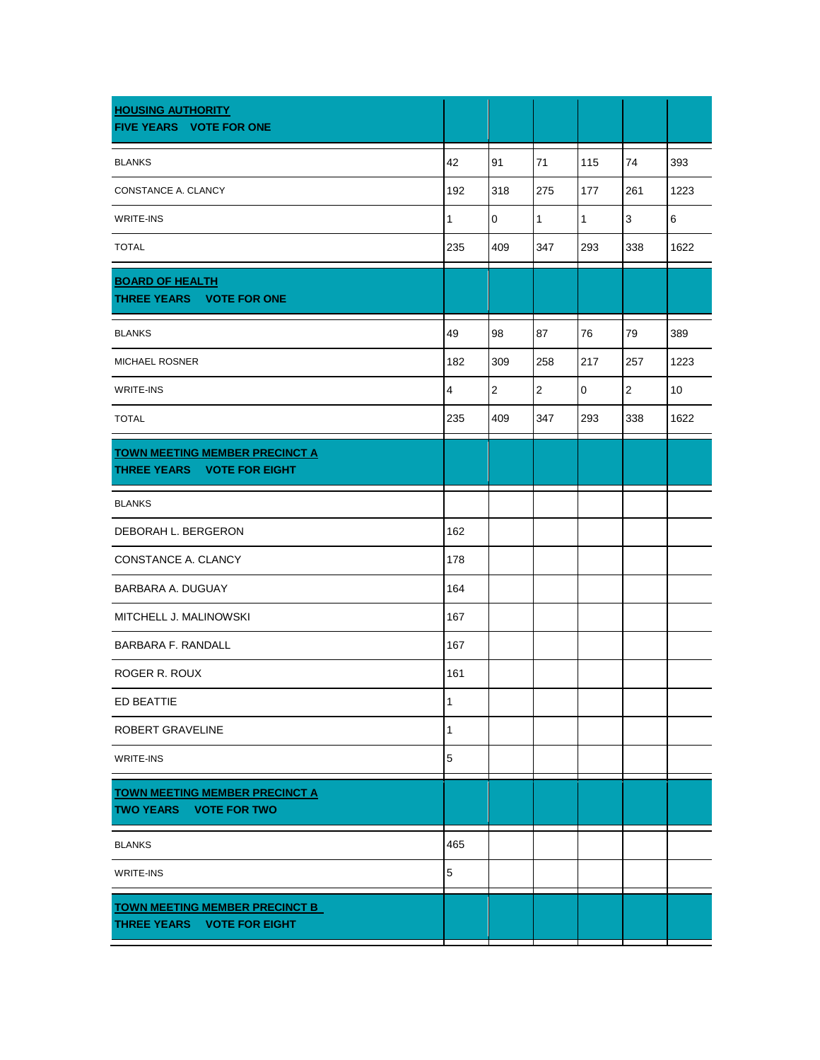| <b>HOUSING AUTHORITY</b><br><b>FIVE YEARS VOTE FOR ONE</b>             |                         |                |                |                     |                |      |
|------------------------------------------------------------------------|-------------------------|----------------|----------------|---------------------|----------------|------|
| <b>BLANKS</b>                                                          | 42                      | 91             | 71             | 115                 | 74             | 393  |
| CONSTANCE A. CLANCY                                                    | 192                     | 318            | 275            | 177                 | 261            | 1223 |
| WRITE-INS                                                              | 1                       | $\mathbf 0$    | $\mathbf{1}$   | $\mathbf{1}$        | 3              | 6    |
| <b>TOTAL</b>                                                           | 235                     | 409            | 347            | 293                 | 338            | 1622 |
| <b>BOARD OF HEALTH</b><br>THREE YEARS VOTE FOR ONE                     |                         |                |                |                     |                |      |
| <b>BLANKS</b>                                                          | 49                      | 98             | 87             | 76                  | 79             | 389  |
| <b>MICHAEL ROSNER</b>                                                  | 182                     | 309            | 258            | 217                 | 257            | 1223 |
| WRITE-INS                                                              | $\overline{\mathbf{4}}$ | $\overline{2}$ | $\overline{2}$ | $\mathsf{O}\xspace$ | $\overline{2}$ | 10   |
| <b>TOTAL</b>                                                           | 235                     | 409            | 347            | 293                 | 338            | 1622 |
| <b>TOWN MEETING MEMBER PRECINCT A</b><br>THREE YEARS VOTE FOR EIGHT    |                         |                |                |                     |                |      |
| <b>BLANKS</b>                                                          |                         |                |                |                     |                |      |
| DEBORAH L. BERGERON                                                    | 162                     |                |                |                     |                |      |
| CONSTANCE A. CLANCY                                                    | 178                     |                |                |                     |                |      |
| BARBARA A. DUGUAY                                                      | 164                     |                |                |                     |                |      |
| MITCHELL J. MALINOWSKI                                                 | 167                     |                |                |                     |                |      |
| <b>BARBARA F. RANDALL</b>                                              | 167                     |                |                |                     |                |      |
| ROGER R. ROUX                                                          | 161                     |                |                |                     |                |      |
| <b>ED BEATTIE</b>                                                      | 1                       |                |                |                     |                |      |
| ROBERT GRAVELINE                                                       | 1                       |                |                |                     |                |      |
| WRITE-INS                                                              | $\mathbf 5$             |                |                |                     |                |      |
| <b>TOWN MEETING MEMBER PRECINCT A</b><br><b>TWO YEARS VOTE FOR TWO</b> |                         |                |                |                     |                |      |
| <b>BLANKS</b>                                                          | 465                     |                |                |                     |                |      |
| WRITE-INS                                                              | $\mathbf 5$             |                |                |                     |                |      |
| <b>TOWN MEETING MEMBER PRECINCT B</b><br>THREE YEARS VOTE FOR EIGHT    |                         |                |                |                     |                |      |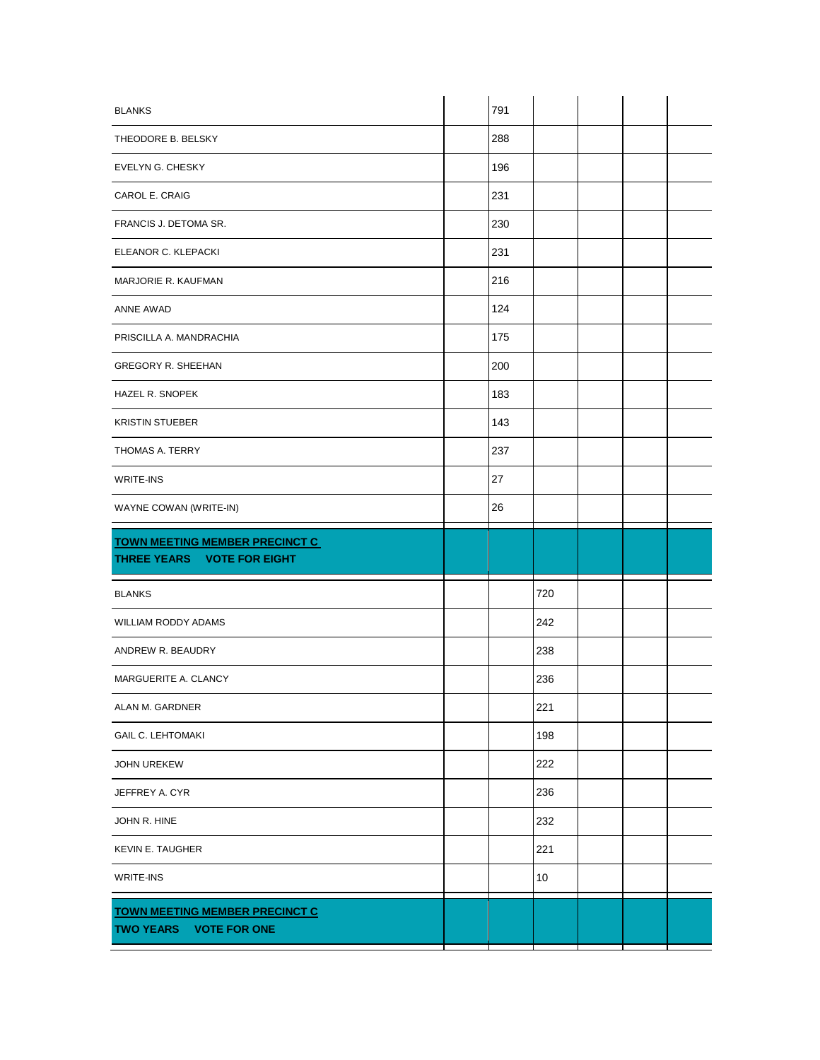| <b>BLANKS</b>                                                       | 791 |     |  |  |
|---------------------------------------------------------------------|-----|-----|--|--|
| THEODORE B. BELSKY                                                  | 288 |     |  |  |
| EVELYN G. CHESKY                                                    | 196 |     |  |  |
| CAROL E. CRAIG                                                      | 231 |     |  |  |
| FRANCIS J. DETOMA SR.                                               | 230 |     |  |  |
| ELEANOR C. KLEPACKI                                                 | 231 |     |  |  |
| MARJORIE R. KAUFMAN                                                 | 216 |     |  |  |
| ANNE AWAD                                                           | 124 |     |  |  |
| PRISCILLA A. MANDRACHIA                                             | 175 |     |  |  |
| <b>GREGORY R. SHEEHAN</b>                                           | 200 |     |  |  |
| HAZEL R. SNOPEK                                                     | 183 |     |  |  |
| <b>KRISTIN STUEBER</b>                                              | 143 |     |  |  |
| THOMAS A. TERRY                                                     | 237 |     |  |  |
| WRITE-INS                                                           | 27  |     |  |  |
| WAYNE COWAN (WRITE-IN)                                              | 26  |     |  |  |
|                                                                     |     |     |  |  |
| <b>TOWN MEETING MEMBER PRECINCT C</b><br>THREE YEARS VOTE FOR EIGHT |     |     |  |  |
| <b>BLANKS</b>                                                       |     | 720 |  |  |
| WILLIAM RODDY ADAMS                                                 |     | 242 |  |  |
| ANDREW R. BEAUDRY                                                   |     | 238 |  |  |
| MARGUERITE A. CLANCY                                                |     | 236 |  |  |
| ALAN M. GARDNER                                                     |     | 221 |  |  |
| <b>GAIL C. LEHTOMAKI</b>                                            |     | 198 |  |  |
| <b>JOHN UREKEW</b>                                                  |     | 222 |  |  |
| JEFFREY A. CYR                                                      |     | 236 |  |  |
| JOHN R. HINE                                                        |     | 232 |  |  |
| <b>KEVIN E. TAUGHER</b>                                             |     | 221 |  |  |
| WRITE-INS                                                           |     | 10  |  |  |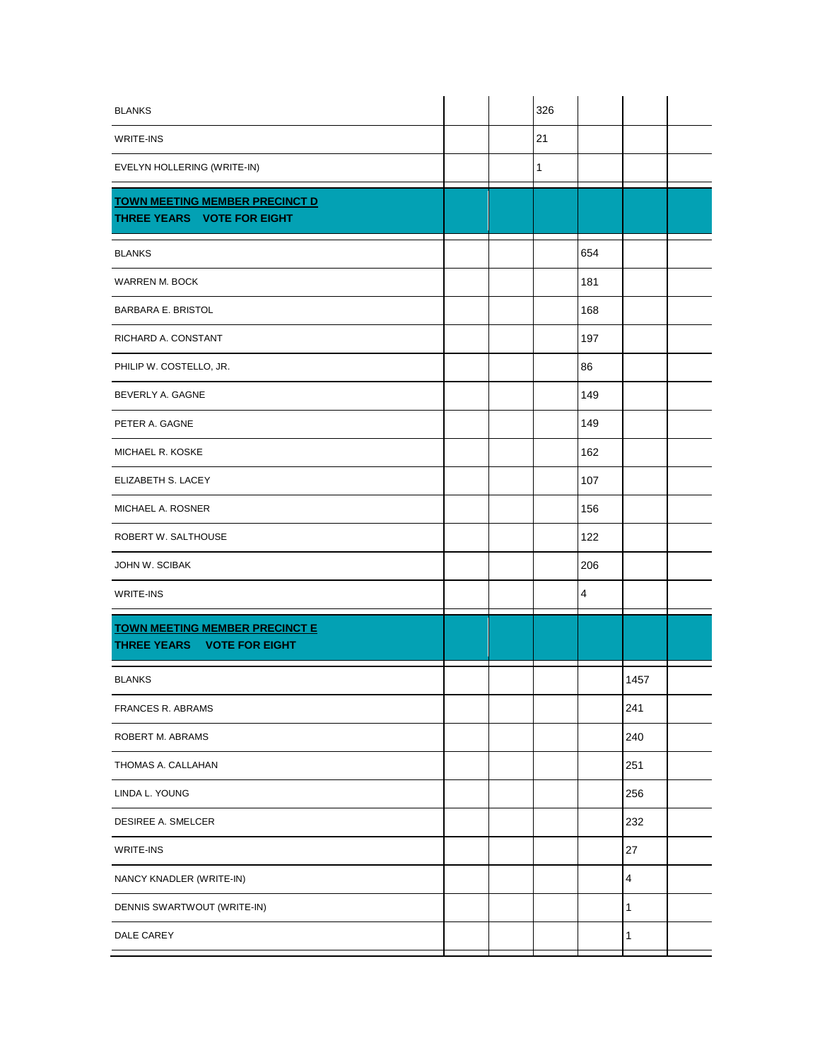| <b>BLANKS</b>                                                       |  | 326          |                |                |  |
|---------------------------------------------------------------------|--|--------------|----------------|----------------|--|
| WRITE-INS                                                           |  | 21           |                |                |  |
| EVELYN HOLLERING (WRITE-IN)                                         |  | $\mathbf{1}$ |                |                |  |
| <b>TOWN MEETING MEMBER PRECINCT D</b><br>THREE YEARS VOTE FOR EIGHT |  |              |                |                |  |
| <b>BLANKS</b>                                                       |  |              | 654            |                |  |
| <b>WARREN M. BOCK</b>                                               |  |              | 181            |                |  |
| <b>BARBARA E. BRISTOL</b>                                           |  |              | 168            |                |  |
| RICHARD A. CONSTANT                                                 |  |              | 197            |                |  |
| PHILIP W. COSTELLO, JR.                                             |  |              | 86             |                |  |
| BEVERLY A. GAGNE                                                    |  |              | 149            |                |  |
| PETER A. GAGNE                                                      |  |              | 149            |                |  |
| MICHAEL R. KOSKE                                                    |  |              | 162            |                |  |
| ELIZABETH S. LACEY                                                  |  |              | 107            |                |  |
| MICHAEL A. ROSNER                                                   |  |              | 156            |                |  |
| ROBERT W. SALTHOUSE                                                 |  |              | 122            |                |  |
| JOHN W. SCIBAK                                                      |  |              | 206            |                |  |
| WRITE-INS                                                           |  |              | $\overline{4}$ |                |  |
| <b>TOWN MEETING MEMBER PRECINCT E</b><br>THREE YEARS VOTE FOR EIGHT |  |              |                |                |  |
| <b>BLANKS</b>                                                       |  |              |                | 1457           |  |
| <b>FRANCES R. ABRAMS</b>                                            |  |              |                | 241            |  |
| ROBERT M. ABRAMS                                                    |  |              |                | 240            |  |
| THOMAS A. CALLAHAN                                                  |  |              |                | 251            |  |
| LINDA L. YOUNG                                                      |  |              |                | 256            |  |
| DESIREE A. SMELCER                                                  |  |              |                | 232            |  |
| WRITE-INS                                                           |  |              |                | 27             |  |
| NANCY KNADLER (WRITE-IN)                                            |  |              |                | $\overline{4}$ |  |
| DENNIS SWARTWOUT (WRITE-IN)                                         |  |              |                | 1              |  |
| DALE CAREY                                                          |  |              |                | 1              |  |
|                                                                     |  |              |                |                |  |